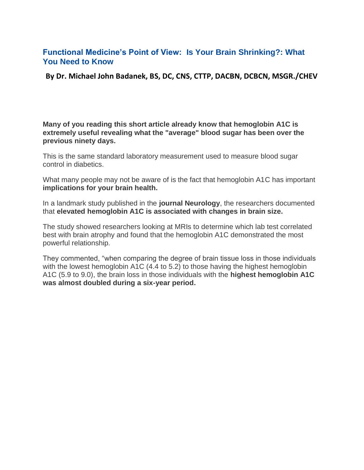## **Functional Medicine's Point of View: Is Your Brain Shrinking?: What You Need to Know**

**By Dr. Michael John Badanek, BS, DC, CNS, CTTP, DACBN, DCBCN, MSGR./CHEV**

**Many of you reading this short article already know that hemoglobin A1C is extremely useful revealing what the "average" blood sugar has been over the previous ninety days.** 

This is the same standard laboratory measurement used to measure blood sugar control in diabetics.

What many people may not be aware of is the fact that hemoglobin A1C has important **implications for your brain health.**

In a landmark study published in the **journal Neurology**, the researchers documented that **elevated hemoglobin A1C is associated with changes in brain size.**

The study showed researchers looking at MRIs to determine which lab test correlated best with brain atrophy and found that the hemoglobin A1C demonstrated the most powerful relationship.

They commented, "when comparing the degree of brain tissue loss in those individuals with the lowest hemoglobin A1C (4.4 to 5.2) to those having the highest hemoglobin A1C (5.9 to 9.0), the brain loss in those individuals with the **highest hemoglobin A1C was almost doubled during a six-year period.**